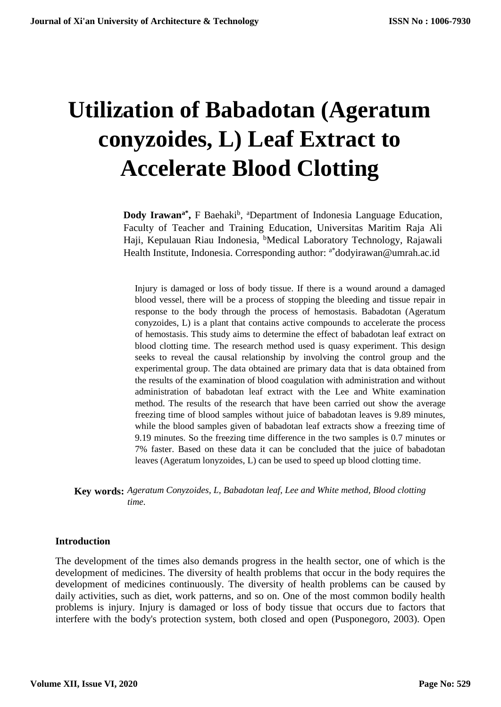# **Utilization of Babadotan (Ageratum conyzoides, L) Leaf Extract to Accelerate Blood Clotting**

Dody Irawan<sup>a\*</sup>, F Baehaki<sup>b</sup>, <sup>a</sup>Department of Indonesia Language Education, Faculty of Teacher and Training Education, Universitas Maritim Raja Ali Haji, Kepulauan Riau Indonesia, <sup>b</sup>Medical Laboratory Technology, Rajawali Health Institute, Indonesia. Corresponding author: <sup>a\*</sup>dodyirawan@umrah.ac.id

Injury is damaged or loss of body tissue. If there is a wound around a damaged blood vessel, there will be a process of stopping the bleeding and tissue repair in response to the body through the process of hemostasis. Babadotan (Ageratum conyzoides, L) is a plant that contains active compounds to accelerate the process of hemostasis. This study aims to determine the effect of babadotan leaf extract on blood clotting time. The research method used is quasy experiment. This design seeks to reveal the causal relationship by involving the control group and the experimental group. The data obtained are primary data that is data obtained from the results of the examination of blood coagulation with administration and without administration of babadotan leaf extract with the Lee and White examination method. The results of the research that have been carried out show the average freezing time of blood samples without juice of babadotan leaves is 9.89 minutes, while the blood samples given of babadotan leaf extracts show a freezing time of 9.19 minutes. So the freezing time difference in the two samples is 0.7 minutes or 7% faster. Based on these data it can be concluded that the juice of babadotan leaves (Ageratum lonyzoides, L) can be used to speed up blood clotting time.

**Key words:** *Ageratum Conyzoides, L, Babadotan leaf, Lee and White method, Blood clotting time.*

#### **Introduction**

The development of the times also demands progress in the health sector, one of which is the development of medicines. The diversity of health problems that occur in the body requires the development of medicines continuously. The diversity of health problems can be caused by daily activities, such as diet, work patterns, and so on. One of the most common bodily health problems is injury. Injury is damaged or loss of body tissue that occurs due to factors that interfere with the body's protection system, both closed and open (Pusponegoro, 2003). Open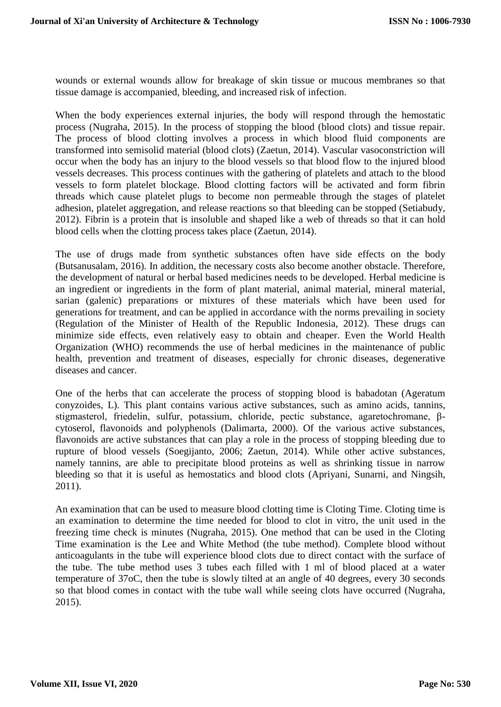wounds or external wounds allow for breakage of skin tissue or mucous membranes so that tissue damage is accompanied, bleeding, and increased risk of infection.

When the body experiences external injuries, the body will respond through the hemostatic process (Nugraha, 2015). In the process of stopping the blood (blood clots) and tissue repair. The process of blood clotting involves a process in which blood fluid components are transformed into semisolid material (blood clots) (Zaetun, 2014). Vascular vasoconstriction will occur when the body has an injury to the blood vessels so that blood flow to the injured blood vessels decreases. This process continues with the gathering of platelets and attach to the blood vessels to form platelet blockage. Blood clotting factors will be activated and form fibrin threads which cause platelet plugs to become non permeable through the stages of platelet adhesion, platelet aggregation, and release reactions so that bleeding can be stopped (Setiabudy, 2012). Fibrin is a protein that is insoluble and shaped like a web of threads so that it can hold blood cells when the clotting process takes place (Zaetun, 2014).

The use of drugs made from synthetic substances often have side effects on the body (Butsanusalam, 2016). In addition, the necessary costs also become another obstacle. Therefore, the development of natural or herbal based medicines needs to be developed. Herbal medicine is an ingredient or ingredients in the form of plant material, animal material, mineral material, sarian (galenic) preparations or mixtures of these materials which have been used for generations for treatment, and can be applied in accordance with the norms prevailing in society (Regulation of the Minister of Health of the Republic Indonesia, 2012). These drugs can minimize side effects, even relatively easy to obtain and cheaper. Even the World Health Organization (WHO) recommends the use of herbal medicines in the maintenance of public health, prevention and treatment of diseases, especially for chronic diseases, degenerative diseases and cancer.

One of the herbs that can accelerate the process of stopping blood is babadotan (Ageratum conyzoides, L). This plant contains various active substances, such as amino acids, tannins, stigmasterol, friedelin, sulfur, potassium, chloride, pectic substance, agaretochromane, βcytoserol, flavonoids and polyphenols (Dalimarta, 2000). Of the various active substances, flavonoids are active substances that can play a role in the process of stopping bleeding due to rupture of blood vessels (Soegijanto, 2006; Zaetun, 2014). While other active substances, namely tannins, are able to precipitate blood proteins as well as shrinking tissue in narrow bleeding so that it is useful as hemostatics and blood clots (Apriyani, Sunarni, and Ningsih, 2011).

An examination that can be used to measure blood clotting time is Cloting Time. Cloting time is an examination to determine the time needed for blood to clot in vitro, the unit used in the freezing time check is minutes (Nugraha, 2015). One method that can be used in the Cloting Time examination is the Lee and White Method (the tube method). Complete blood without anticoagulants in the tube will experience blood clots due to direct contact with the surface of the tube. The tube method uses 3 tubes each filled with 1 ml of blood placed at a water temperature of 37oC, then the tube is slowly tilted at an angle of 40 degrees, every 30 seconds so that blood comes in contact with the tube wall while seeing clots have occurred (Nugraha, 2015).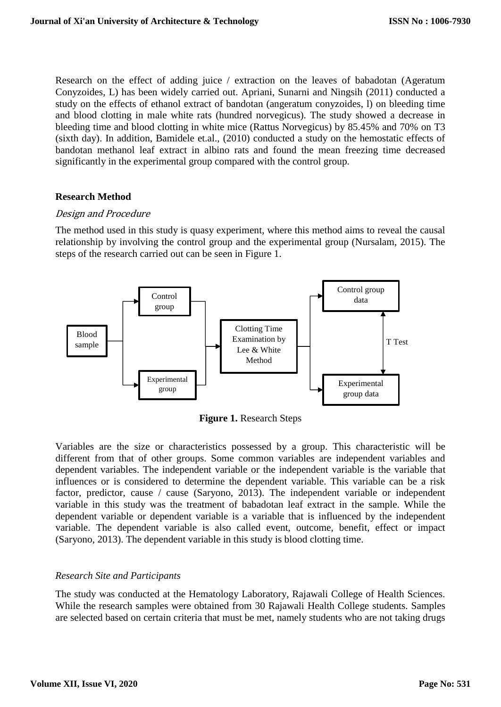Research on the effect of adding juice / extraction on the leaves of babadotan (Ageratum Conyzoides, L) has been widely carried out. Apriani, Sunarni and Ningsih (2011) conducted a study on the effects of ethanol extract of bandotan (angeratum conyzoides, l) on bleeding time and blood clotting in male white rats (hundred norvegicus). The study showed a decrease in bleeding time and blood clotting in white mice (Rattus Norvegicus) by 85.45% and 70% on T3 (sixth day). In addition, Bamidele et.al., (2010) conducted a study on the hemostatic effects of bandotan methanol leaf extract in albino rats and found the mean freezing time decreased significantly in the experimental group compared with the control group.

## **Research Method**

## Design and Procedure

The method used in this study is quasy experiment, where this method aims to reveal the causal relationship by involving the control group and the experimental group (Nursalam, 2015). The steps of the research carried out can be seen in Figure 1.



**Figure 1.** Research Steps

Variables are the size or characteristics possessed by a group. This characteristic will be different from that of other groups. Some common variables are independent variables and dependent variables. The independent variable or the independent variable is the variable that influences or is considered to determine the dependent variable. This variable can be a risk factor, predictor, cause / cause (Saryono, 2013). The independent variable or independent variable in this study was the treatment of babadotan leaf extract in the sample. While the dependent variable or dependent variable is a variable that is influenced by the independent variable. The dependent variable is also called event, outcome, benefit, effect or impact (Saryono, 2013). The dependent variable in this study is blood clotting time.

# *Research Site and Participants*

The study was conducted at the Hematology Laboratory, Rajawali College of Health Sciences. While the research samples were obtained from 30 Rajawali Health College students. Samples are selected based on certain criteria that must be met, namely students who are not taking drugs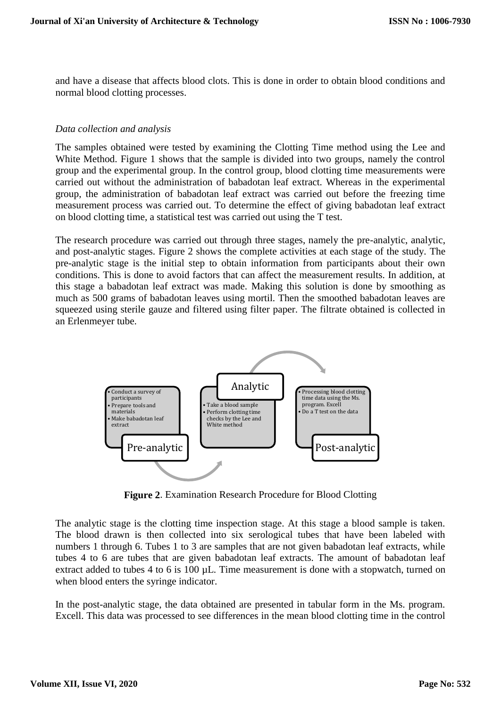and have a disease that affects blood clots. This is done in order to obtain blood conditions and normal blood clotting processes.

#### *Data collection and analysis*

The samples obtained were tested by examining the Clotting Time method using the Lee and White Method. Figure 1 shows that the sample is divided into two groups, namely the control group and the experimental group. In the control group, blood clotting time measurements were carried out without the administration of babadotan leaf extract. Whereas in the experimental group, the administration of babadotan leaf extract was carried out before the freezing time measurement process was carried out. To determine the effect of giving babadotan leaf extract on blood clotting time, a statistical test was carried out using the T test.

The research procedure was carried out through three stages, namely the pre-analytic, analytic, and post-analytic stages. Figure 2 shows the complete activities at each stage of the study. The pre-analytic stage is the initial step to obtain information from participants about their own conditions. This is done to avoid factors that can affect the measurement results. In addition, at this stage a babadotan leaf extract was made. Making this solution is done by smoothing as much as 500 grams of babadotan leaves using mortil. Then the smoothed babadotan leaves are squeezed using sterile gauze and filtered using filter paper. The filtrate obtained is collected in an Erlenmeyer tube.



**Figure 2**. Examination Research Procedure for Blood Clotting

The analytic stage is the clotting time inspection stage. At this stage a blood sample is taken. The blood drawn is then collected into six serological tubes that have been labeled with numbers 1 through 6. Tubes 1 to 3 are samples that are not given babadotan leaf extracts, while tubes 4 to 6 are tubes that are given babadotan leaf extracts. The amount of babadotan leaf extract added to tubes 4 to 6 is 100 µL. Time measurement is done with a stopwatch, turned on when blood enters the syringe indicator.

In the post-analytic stage, the data obtained are presented in tabular form in the Ms. program. Excell. This data was processed to see differences in the mean blood clotting time in the control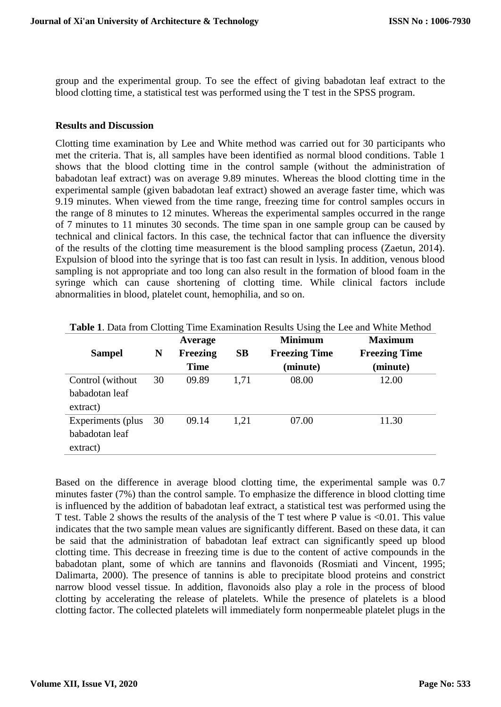group and the experimental group. To see the effect of giving babadotan leaf extract to the blood clotting time, a statistical test was performed using the T test in the SPSS program.

#### **Results and Discussion**

Clotting time examination by Lee and White method was carried out for 30 participants who met the criteria. That is, all samples have been identified as normal blood conditions. Table 1 shows that the blood clotting time in the control sample (without the administration of babadotan leaf extract) was on average 9.89 minutes. Whereas the blood clotting time in the experimental sample (given babadotan leaf extract) showed an average faster time, which was 9.19 minutes. When viewed from the time range, freezing time for control samples occurs in the range of 8 minutes to 12 minutes. Whereas the experimental samples occurred in the range of 7 minutes to 11 minutes 30 seconds. The time span in one sample group can be caused by technical and clinical factors. In this case, the technical factor that can influence the diversity of the results of the clotting time measurement is the blood sampling process (Zaetun, 2014). Expulsion of blood into the syringe that is too fast can result in lysis. In addition, venous blood sampling is not appropriate and too long can also result in the formation of blood foam in the syringe which can cause shortening of clotting time. While clinical factors include abnormalities in blood, platelet count, hemophilia, and so on.

|                   |    | Average     |      | <b>Minimum</b>       | <b>Maximum</b>       |  |
|-------------------|----|-------------|------|----------------------|----------------------|--|
| <b>Sampel</b>     | N  | Freezing    | SB   | <b>Freezing Time</b> | <b>Freezing Time</b> |  |
|                   |    | <b>Time</b> |      | (minute)             | (minute)             |  |
| Control (without) | 30 | 09.89       | 1,71 | 08.00                | 12.00                |  |
| babadotan leaf    |    |             |      |                      |                      |  |
| extract)          |    |             |      |                      |                      |  |
| Experiments (plus | 30 | 09.14       | 1.21 | 07.00                | 11.30                |  |
| babadotan leaf    |    |             |      |                      |                      |  |
| extract)          |    |             |      |                      |                      |  |

| Table 1. Data from Clotting Time Examination Results Using the Lee and White Method |  |                                                                                                                                                                                                                                                                                          |
|-------------------------------------------------------------------------------------|--|------------------------------------------------------------------------------------------------------------------------------------------------------------------------------------------------------------------------------------------------------------------------------------------|
|                                                                                     |  | $\mathbf{A}$ , and $\mathbf{A}$ , and $\mathbf{A}$ , and $\mathbf{A}$ , and $\mathbf{A}$ , and $\mathbf{A}$ , and $\mathbf{A}$ , and $\mathbf{A}$ , and $\mathbf{A}$ , and $\mathbf{A}$ , and $\mathbf{A}$ , and $\mathbf{A}$ , and $\mathbf{A}$ , and $\mathbf{A}$ , and $\mathbf{A}$ , |

Based on the difference in average blood clotting time, the experimental sample was 0.7 minutes faster (7%) than the control sample. To emphasize the difference in blood clotting time is influenced by the addition of babadotan leaf extract, a statistical test was performed using the T test. Table 2 shows the results of the analysis of the T test where P value is <0.01. This value indicates that the two sample mean values are significantly different. Based on these data, it can be said that the administration of babadotan leaf extract can significantly speed up blood clotting time. This decrease in freezing time is due to the content of active compounds in the babadotan plant, some of which are tannins and flavonoids (Rosmiati and Vincent, 1995; Dalimarta, 2000). The presence of tannins is able to precipitate blood proteins and constrict narrow blood vessel tissue. In addition, flavonoids also play a role in the process of blood clotting by accelerating the release of platelets. While the presence of platelets is a blood clotting factor. The collected platelets will immediately form nonpermeable platelet plugs in the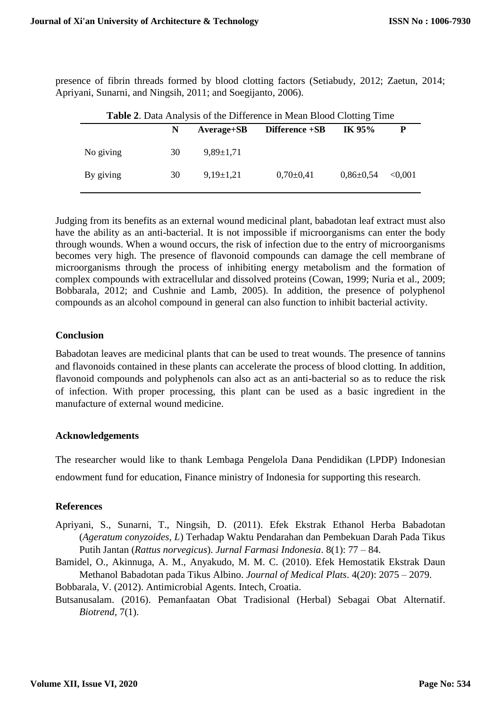presence of fibrin threads formed by blood clotting factors (Setiabudy, 2012; Zaetun, 2014; Apriyani, Sunarni, and Ningsih, 2011; and Soegijanto, 2006).

| <b>Table 2.</b> Data Analysis of the Difference in Mean Blood Clotting Time |    |                 |                |                 |         |  |  |  |
|-----------------------------------------------------------------------------|----|-----------------|----------------|-----------------|---------|--|--|--|
|                                                                             | N  | $Average + SB$  | Difference +SB | IK 95%          |         |  |  |  |
| No giving                                                                   | 30 | $9.89 \pm 1.71$ |                |                 |         |  |  |  |
| By giving                                                                   | 30 | $9,19\pm1,21$   | $0,70\pm0,41$  | $0.86 \pm 0.54$ | < 0.001 |  |  |  |

Judging from its benefits as an external wound medicinal plant, babadotan leaf extract must also have the ability as an anti-bacterial. It is not impossible if microorganisms can enter the body through wounds. When a wound occurs, the risk of infection due to the entry of microorganisms becomes very high. The presence of flavonoid compounds can damage the cell membrane of microorganisms through the process of inhibiting energy metabolism and the formation of complex compounds with extracellular and dissolved proteins (Cowan, 1999; Nuria et al., 2009; Bobbarala, 2012; and Cushnie and Lamb, 2005). In addition, the presence of polyphenol compounds as an alcohol compound in general can also function to inhibit bacterial activity.

#### **Conclusion**

Babadotan leaves are medicinal plants that can be used to treat wounds. The presence of tannins and flavonoids contained in these plants can accelerate the process of blood clotting. In addition, flavonoid compounds and polyphenols can also act as an anti-bacterial so as to reduce the risk of infection. With proper processing, this plant can be used as a basic ingredient in the manufacture of external wound medicine.

## **Acknowledgements**

The researcher would like to thank Lembaga Pengelola Dana Pendidikan (LPDP) Indonesian endowment fund for education, Finance ministry of Indonesia for supporting this research.

## **References**

- Apriyani, S., Sunarni, T., Ningsih, D. (2011). Efek Ekstrak Ethanol Herba Babadotan (*Ageratum conyzoides, L*) Terhadap Waktu Pendarahan dan Pembekuan Darah Pada Tikus Putih Jantan (*Rattus norvegicus*). *Jurnal Farmasi Indonesia*. 8(1): 77 – 84.
- Bamidel, O., Akinnuga, A. M., Anyakudo, M. M. C. (2010). Efek Hemostatik Ekstrak Daun Methanol Babadotan pada Tikus Albino. *Journal of Medical Plats*. 4(*20*): 2075 – 2079.
- Bobbarala, V. (2012). Antimicrobial Agents. Intech, Croatia.
- Butsanusalam. (2016). Pemanfaatan Obat Tradisional (Herbal) Sebagai Obat Alternatif. *Biotrend*, 7(1).